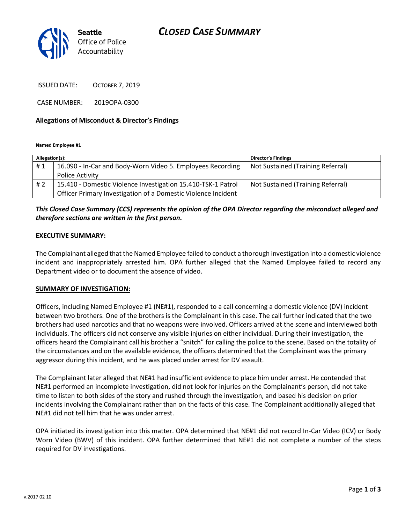# *CLOSED CASE SUMMARY*



ISSUED DATE: OCTOBER 7, 2019

CASE NUMBER: 2019OPA-0300

#### **Allegations of Misconduct & Director's Findings**

**Named Employee #1**

| Allegation(s): |                                                               | <b>Director's Findings</b>        |
|----------------|---------------------------------------------------------------|-----------------------------------|
| #1             | 16.090 - In-Car and Body-Worn Video 5. Employees Recording    | Not Sustained (Training Referral) |
|                | Police Activity                                               |                                   |
| #2             | 15.410 - Domestic Violence Investigation 15.410-TSK-1 Patrol  | Not Sustained (Training Referral) |
|                | Officer Primary Investigation of a Domestic Violence Incident |                                   |

## *This Closed Case Summary (CCS) represents the opinion of the OPA Director regarding the misconduct alleged and therefore sections are written in the first person.*

#### **EXECUTIVE SUMMARY:**

The Complainant alleged that the Named Employee failed to conduct a thorough investigation into a domestic violence incident and inappropriately arrested him. OPA further alleged that the Named Employee failed to record any Department video or to document the absence of video.

#### **SUMMARY OF INVESTIGATION:**

Officers, including Named Employee #1 (NE#1), responded to a call concerning a domestic violence (DV) incident between two brothers. One of the brothers is the Complainant in this case. The call further indicated that the two brothers had used narcotics and that no weapons were involved. Officers arrived at the scene and interviewed both individuals. The officers did not conserve any visible injuries on either individual. During their investigation, the officers heard the Complainant call his brother a "snitch" for calling the police to the scene. Based on the totality of the circumstances and on the available evidence, the officers determined that the Complainant was the primary aggressor during this incident, and he was placed under arrest for DV assault.

The Complainant later alleged that NE#1 had insufficient evidence to place him under arrest. He contended that NE#1 performed an incomplete investigation, did not look for injuries on the Complainant's person, did not take time to listen to both sides of the story and rushed through the investigation, and based his decision on prior incidents involving the Complainant rather than on the facts of this case. The Complainant additionally alleged that NE#1 did not tell him that he was under arrest.

OPA initiated its investigation into this matter. OPA determined that NE#1 did not record In-Car Video (ICV) or Body Worn Video (BWV) of this incident. OPA further determined that NE#1 did not complete a number of the steps required for DV investigations.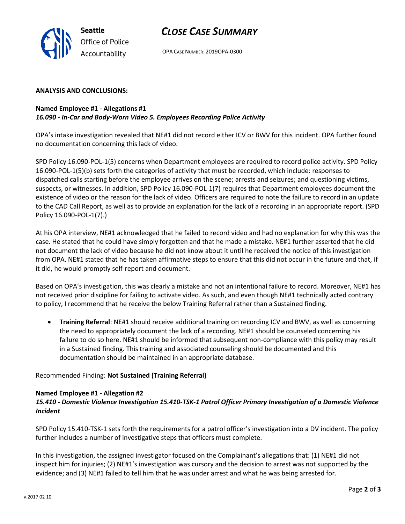

# *CLOSE CASE SUMMARY*

OPA CASE NUMBER: 2019OPA-0300

#### **ANALYSIS AND CONCLUSIONS:**

### **Named Employee #1 - Allegations #1** *16.090 - In-Car and Body-Worn Video 5. Employees Recording Police Activity*

OPA's intake investigation revealed that NE#1 did not record either ICV or BWV for this incident. OPA further found no documentation concerning this lack of video.

SPD Policy 16.090-POL-1(5) concerns when Department employees are required to record police activity. SPD Policy 16.090-POL-1(5)(b) sets forth the categories of activity that must be recorded, which include: responses to dispatched calls starting before the employee arrives on the scene; arrests and seizures; and questioning victims, suspects, or witnesses. In addition, SPD Policy 16.090-POL-1(7) requires that Department employees document the existence of video or the reason for the lack of video. Officers are required to note the failure to record in an update to the CAD Call Report, as well as to provide an explanation for the lack of a recording in an appropriate report. (SPD Policy 16.090-POL-1(7).)

At his OPA interview, NE#1 acknowledged that he failed to record video and had no explanation for why this was the case. He stated that he could have simply forgotten and that he made a mistake. NE#1 further asserted that he did not document the lack of video because he did not know about it until he received the notice of this investigation from OPA. NE#1 stated that he has taken affirmative steps to ensure that this did not occur in the future and that, if it did, he would promptly self-report and document.

Based on OPA's investigation, this was clearly a mistake and not an intentional failure to record. Moreover, NE#1 has not received prior discipline for failing to activate video. As such, and even though NE#1 technically acted contrary to policy, I recommend that he receive the below Training Referral rather than a Sustained finding.

• **Training Referral**: NE#1 should receive additional training on recording ICV and BWV, as well as concerning the need to appropriately document the lack of a recording. NE#1 should be counseled concerning his failure to do so here. NE#1 should be informed that subsequent non-compliance with this policy may result in a Sustained finding. This training and associated counseling should be documented and this documentation should be maintained in an appropriate database.

Recommended Finding: **Not Sustained (Training Referral)**

#### **Named Employee #1 - Allegation #2**

## *15.410 - Domestic Violence Investigation 15.410-TSK-1 Patrol Officer Primary Investigation of a Domestic Violence Incident*

SPD Policy 15.410-TSK-1 sets forth the requirements for a patrol officer's investigation into a DV incident. The policy further includes a number of investigative steps that officers must complete.

In this investigation, the assigned investigator focused on the Complainant's allegations that: (1) NE#1 did not inspect him for injuries; (2) NE#1's investigation was cursory and the decision to arrest was not supported by the evidence; and (3) NE#1 failed to tell him that he was under arrest and what he was being arrested for.